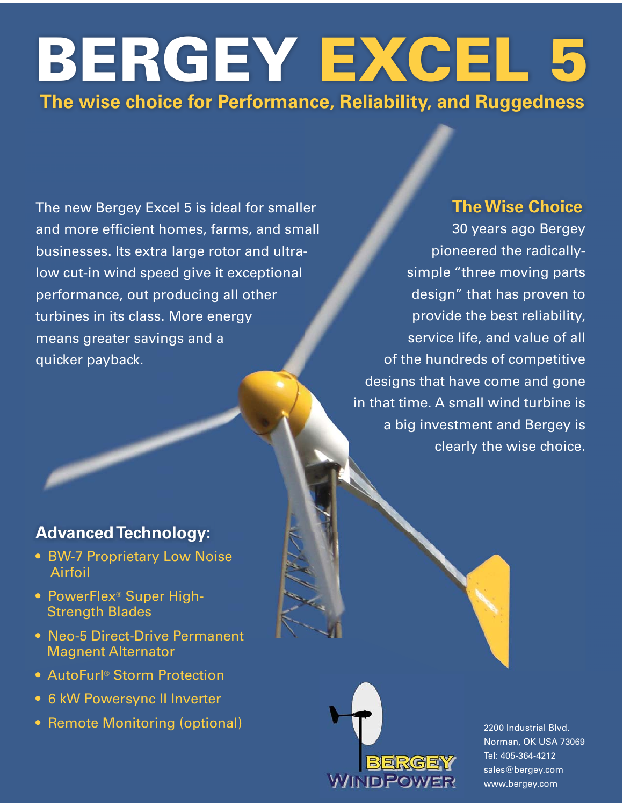# BERGEY EXCEL 5 The wise choice for Performance, Reliability, and Ruggedness

The new Bergey Excel 5 is ideal for smaller and more efficient homes, farms, and small businesses. Its extra large rotor and ultralow cut-in wind speed give it exceptional performance, out producing all other turbines in its class. More energy means greater savings and a quicker payback.

#### **Advanced Technology:**

- BW-7 Proprietary Low Noise Airfoil
- PowerFlex<sup>®</sup> Super High-**Strength Blades**
- Neo-5 Direct-Drive Permanent **Magnent Alternator**
- AutoFurl<sup>®</sup> Storm Protection
- 6 kW Powersync II Inverter
- Remote Monitoring (optional)

#### **The Wise Choice**

30 years ago Bergey pioneered the radicallysimple "three moving parts design" that has proven to provide the best reliability, service life, and value of all of the hundreds of competitive designs that have come and gone in that time. A small wind turbine is a big investment and Bergey is clearly the wise choice.



2200 Industrial Blvd. Norman, OK USA 73069 Tel: 405-364-4212 sales@bergey.com www.bergey.com